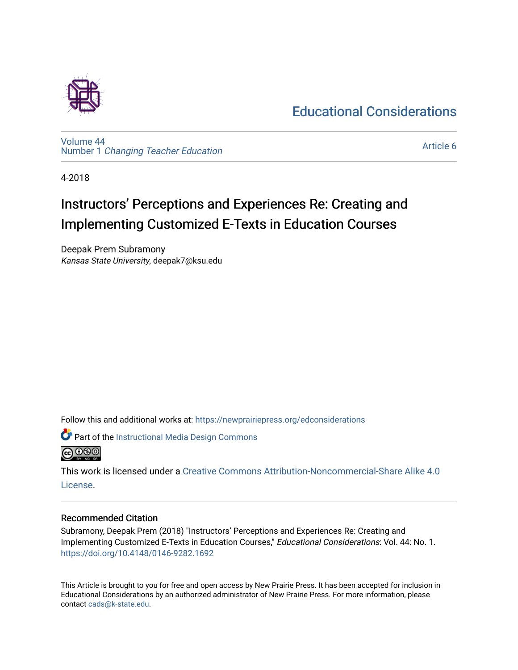# [Educational Considerations](https://newprairiepress.org/edconsiderations)



[Volume 44](https://newprairiepress.org/edconsiderations/vol44) Number 1 [Changing Teacher Education](https://newprairiepress.org/edconsiderations/vol44/iss1) 

[Article 6](https://newprairiepress.org/edconsiderations/vol44/iss1/6) 

4-2018

# Instructors' Perceptions and Experiences Re: Creating and Implementing Customized E-Texts in Education Courses

Deepak Prem Subramony Kansas State University, deepak7@ksu.edu

Follow this and additional works at: [https://newprairiepress.org/edconsiderations](https://newprairiepress.org/edconsiderations?utm_source=newprairiepress.org%2Fedconsiderations%2Fvol44%2Fiss1%2F6&utm_medium=PDF&utm_campaign=PDFCoverPages) 



This work is licensed under a [Creative Commons Attribution-Noncommercial-Share Alike 4.0](https://creativecommons.org/licenses/by-nc-sa/4.0/) [License.](https://creativecommons.org/licenses/by-nc-sa/4.0/)

#### Recommended Citation

Subramony, Deepak Prem (2018) "Instructors' Perceptions and Experiences Re: Creating and Implementing Customized E-Texts in Education Courses," Educational Considerations: Vol. 44: No. 1. <https://doi.org/10.4148/0146-9282.1692>

This Article is brought to you for free and open access by New Prairie Press. It has been accepted for inclusion in Educational Considerations by an authorized administrator of New Prairie Press. For more information, please contact [cads@k-state.edu](mailto:cads@k-state.edu).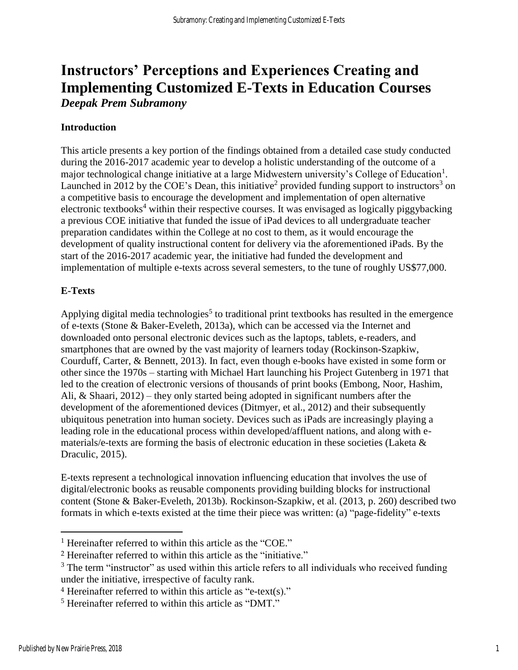# **Instructors' Perceptions and Experiences Creating and Implementing Customized E-Texts in Education Courses** *Deepak Prem Subramony*

#### **Introduction**

This article presents a key portion of the findings obtained from a detailed case study conducted during the 2016-2017 academic year to develop a holistic understanding of the outcome of a major technological change initiative at a large Midwestern university's College of Education<sup>1</sup>. Launched in 2012 by the COE's Dean, this initiative<sup>2</sup> provided funding support to instructors<sup>3</sup> on a competitive basis to encourage the development and implementation of open alternative electronic textbooks<sup>4</sup> within their respective courses. It was envisaged as logically piggybacking a previous COE initiative that funded the issue of iPad devices to all undergraduate teacher preparation candidates within the College at no cost to them, as it would encourage the development of quality instructional content for delivery via the aforementioned iPads. By the start of the 2016-2017 academic year, the initiative had funded the development and implementation of multiple e-texts across several semesters, to the tune of roughly US\$77,000.

#### **E-Texts**

Applying digital media technologies<sup>5</sup> to traditional print textbooks has resulted in the emergence of e-texts (Stone & Baker-Eveleth, 2013a), which can be accessed via the Internet and downloaded onto personal electronic devices such as the laptops, tablets, e-readers, and smartphones that are owned by the vast majority of learners today (Rockinson-Szapkiw, Courduff, Carter, & Bennett, 2013). In fact, even though e-books have existed in some form or other since the 1970s – starting with Michael Hart launching his Project Gutenberg in 1971 that led to the creation of electronic versions of thousands of print books (Embong, Noor, Hashim, Ali, & Shaari, 2012) – they only started being adopted in significant numbers after the development of the aforementioned devices (Ditmyer, et al., 2012) and their subsequently ubiquitous penetration into human society. Devices such as iPads are increasingly playing a leading role in the educational process within developed/affluent nations, and along with ematerials/e-texts are forming the basis of electronic education in these societies (Laketa & Draculic, 2015).

E-texts represent a technological innovation influencing education that involves the use of digital/electronic books as reusable components providing building blocks for instructional content (Stone & Baker-Eveleth, 2013b). Rockinson-Szapkiw, et al. (2013, p. 260) described two formats in which e-texts existed at the time their piece was written: (a) "page-fidelity" e-texts

<sup>&</sup>lt;sup>1</sup> Hereinafter referred to within this article as the "COE."

<sup>2</sup> Hereinafter referred to within this article as the "initiative."

<sup>&</sup>lt;sup>3</sup> The term "instructor" as used within this article refers to all individuals who received funding under the initiative, irrespective of faculty rank.

<sup>4</sup> Hereinafter referred to within this article as "e-text(s)."

<sup>5</sup> Hereinafter referred to within this article as "DMT."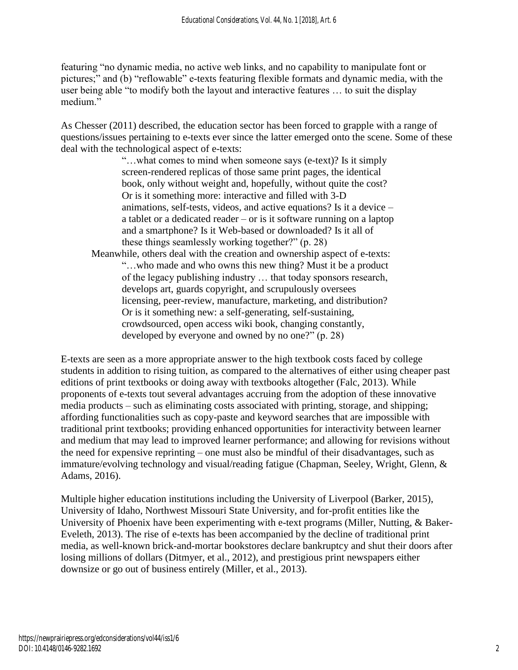featuring "no dynamic media, no active web links, and no capability to manipulate font or pictures;" and (b) "reflowable" e-texts featuring flexible formats and dynamic media, with the user being able "to modify both the layout and interactive features … to suit the display medium."

As Chesser (2011) described, the education sector has been forced to grapple with a range of questions/issues pertaining to e-texts ever since the latter emerged onto the scene. Some of these deal with the technological aspect of e-texts:

> "…what comes to mind when someone says (e-text)? Is it simply screen-rendered replicas of those same print pages, the identical book, only without weight and, hopefully, without quite the cost? Or is it something more: interactive and filled with 3-D animations, self-tests, videos, and active equations? Is it a device – a tablet or a dedicated reader – or is it software running on a laptop and a smartphone? Is it Web-based or downloaded? Is it all of these things seamlessly working together?" (p. 28)

Meanwhile, others deal with the creation and ownership aspect of e-texts: "…who made and who owns this new thing? Must it be a product of the legacy publishing industry … that today sponsors research, develops art, guards copyright, and scrupulously oversees licensing, peer-review, manufacture, marketing, and distribution? Or is it something new: a self-generating, self-sustaining, crowdsourced, open access wiki book, changing constantly, developed by everyone and owned by no one?" (p. 28)

E-texts are seen as a more appropriate answer to the high textbook costs faced by college students in addition to rising tuition, as compared to the alternatives of either using cheaper past editions of print textbooks or doing away with textbooks altogether (Falc, 2013). While proponents of e-texts tout several advantages accruing from the adoption of these innovative media products – such as eliminating costs associated with printing, storage, and shipping; affording functionalities such as copy-paste and keyword searches that are impossible with traditional print textbooks; providing enhanced opportunities for interactivity between learner and medium that may lead to improved learner performance; and allowing for revisions without the need for expensive reprinting – one must also be mindful of their disadvantages, such as immature/evolving technology and visual/reading fatigue (Chapman, Seeley, Wright, Glenn, & Adams, 2016).

Multiple higher education institutions including the University of Liverpool (Barker, 2015), University of Idaho, Northwest Missouri State University, and for-profit entities like the University of Phoenix have been experimenting with e-text programs (Miller, Nutting, & Baker-Eveleth, 2013). The rise of e-texts has been accompanied by the decline of traditional print media, as well-known brick-and-mortar bookstores declare bankruptcy and shut their doors after losing millions of dollars (Ditmyer, et al., 2012), and prestigious print newspapers either downsize or go out of business entirely (Miller, et al., 2013).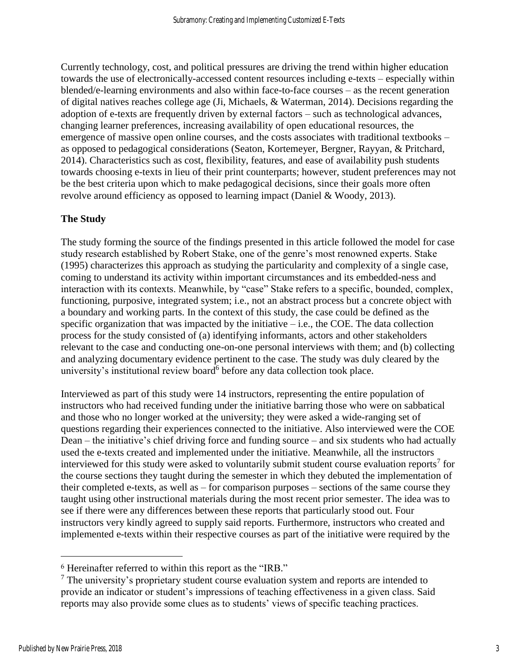Currently technology, cost, and political pressures are driving the trend within higher education towards the use of electronically-accessed content resources including e-texts – especially within blended/e-learning environments and also within face-to-face courses – as the recent generation of digital natives reaches college age (Ji, Michaels, & Waterman, 2014). Decisions regarding the adoption of e-texts are frequently driven by external factors – such as technological advances, changing learner preferences, increasing availability of open educational resources, the emergence of massive open online courses, and the costs associates with traditional textbooks – as opposed to pedagogical considerations (Seaton, Kortemeyer, Bergner, Rayyan, & Pritchard, 2014). Characteristics such as cost, flexibility, features, and ease of availability push students towards choosing e-texts in lieu of their print counterparts; however, student preferences may not be the best criteria upon which to make pedagogical decisions, since their goals more often revolve around efficiency as opposed to learning impact (Daniel & Woody, 2013).

# **The Study**

The study forming the source of the findings presented in this article followed the model for case study research established by Robert Stake, one of the genre's most renowned experts. Stake (1995) characterizes this approach as studying the particularity and complexity of a single case, coming to understand its activity within important circumstances and its embedded-ness and interaction with its contexts. Meanwhile, by "case" Stake refers to a specific, bounded, complex, functioning, purposive, integrated system; i.e., not an abstract process but a concrete object with a boundary and working parts. In the context of this study, the case could be defined as the specific organization that was impacted by the initiative  $-$  i.e., the COE. The data collection process for the study consisted of (a) identifying informants, actors and other stakeholders relevant to the case and conducting one-on-one personal interviews with them; and (b) collecting and analyzing documentary evidence pertinent to the case. The study was duly cleared by the university's institutional review board<sup>6</sup> before any data collection took place.

Interviewed as part of this study were 14 instructors, representing the entire population of instructors who had received funding under the initiative barring those who were on sabbatical and those who no longer worked at the university; they were asked a wide-ranging set of questions regarding their experiences connected to the initiative. Also interviewed were the COE Dean – the initiative's chief driving force and funding source – and six students who had actually used the e-texts created and implemented under the initiative. Meanwhile, all the instructors interviewed for this study were asked to voluntarily submit student course evaluation reports<sup>7</sup> for the course sections they taught during the semester in which they debuted the implementation of their completed e-texts, as well as – for comparison purposes – sections of the same course they taught using other instructional materials during the most recent prior semester. The idea was to see if there were any differences between these reports that particularly stood out. Four instructors very kindly agreed to supply said reports. Furthermore, instructors who created and implemented e-texts within their respective courses as part of the initiative were required by the

<sup>6</sup> Hereinafter referred to within this report as the "IRB."

 $<sup>7</sup>$  The university's proprietary student course evaluation system and reports are intended to</sup> provide an indicator or student's impressions of teaching effectiveness in a given class. Said reports may also provide some clues as to students' views of specific teaching practices.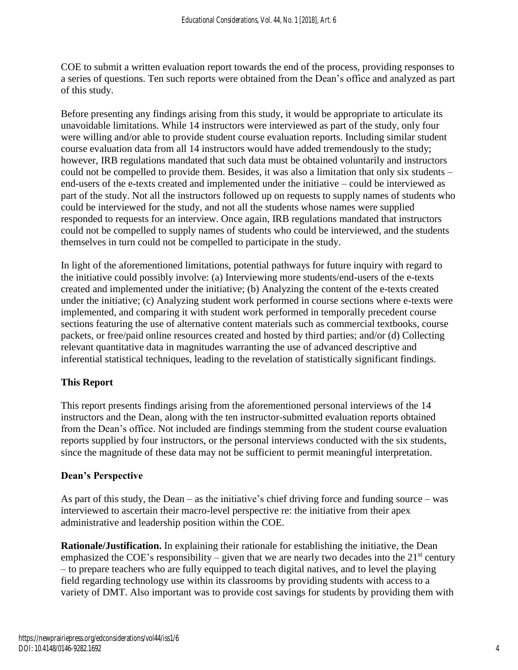COE to submit a written evaluation report towards the end of the process, providing responses to a series of questions. Ten such reports were obtained from the Dean's office and analyzed as part of this study.

Before presenting any findings arising from this study, it would be appropriate to articulate its unavoidable limitations. While 14 instructors were interviewed as part of the study, only four were willing and/or able to provide student course evaluation reports. Including similar student course evaluation data from all 14 instructors would have added tremendously to the study; however, IRB regulations mandated that such data must be obtained voluntarily and instructors could not be compelled to provide them. Besides, it was also a limitation that only six students – end-users of the e-texts created and implemented under the initiative – could be interviewed as part of the study. Not all the instructors followed up on requests to supply names of students who could be interviewed for the study, and not all the students whose names were supplied responded to requests for an interview. Once again, IRB regulations mandated that instructors could not be compelled to supply names of students who could be interviewed, and the students themselves in turn could not be compelled to participate in the study.

In light of the aforementioned limitations, potential pathways for future inquiry with regard to the initiative could possibly involve: (a) Interviewing more students/end-users of the e-texts created and implemented under the initiative; (b) Analyzing the content of the e-texts created under the initiative; (c) Analyzing student work performed in course sections where e-texts were implemented, and comparing it with student work performed in temporally precedent course sections featuring the use of alternative content materials such as commercial textbooks, course packets, or free/paid online resources created and hosted by third parties; and/or (d) Collecting relevant quantitative data in magnitudes warranting the use of advanced descriptive and inferential statistical techniques, leading to the revelation of statistically significant findings.

# **This Report**

This report presents findings arising from the aforementioned personal interviews of the 14 instructors and the Dean, along with the ten instructor-submitted evaluation reports obtained from the Dean's office. Not included are findings stemming from the student course evaluation reports supplied by four instructors, or the personal interviews conducted with the six students, since the magnitude of these data may not be sufficient to permit meaningful interpretation.

### **Dean's Perspective**

As part of this study, the Dean – as the initiative's chief driving force and funding source – was interviewed to ascertain their macro-level perspective re: the initiative from their apex administrative and leadership position within the COE.

**Rationale/Justification.** In explaining their rationale for establishing the initiative, the Dean emphasized the COE's responsibility – given that we are nearly two decades into the  $21<sup>st</sup>$  century – to prepare teachers who are fully equipped to teach digital natives, and to level the playing field regarding technology use within its classrooms by providing students with access to a variety of DMT. Also important was to provide cost savings for students by providing them with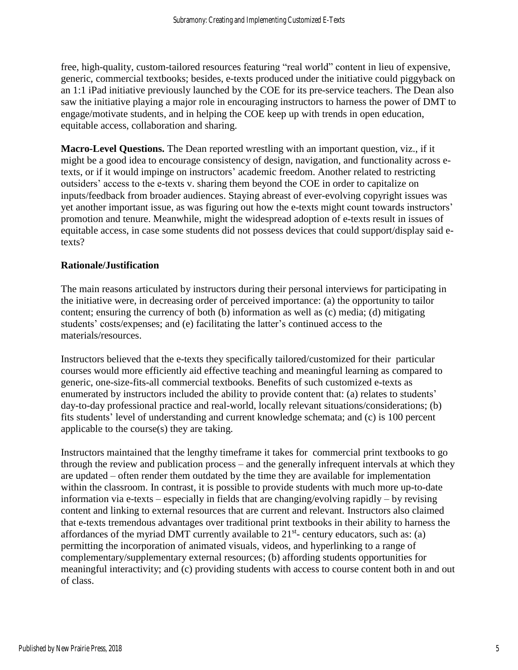free, high-quality, custom-tailored resources featuring "real world" content in lieu of expensive, generic, commercial textbooks; besides, e-texts produced under the initiative could piggyback on an 1:1 iPad initiative previously launched by the COE for its pre-service teachers. The Dean also saw the initiative playing a major role in encouraging instructors to harness the power of DMT to engage/motivate students, and in helping the COE keep up with trends in open education, equitable access, collaboration and sharing.

**Macro-Level Questions.** The Dean reported wrestling with an important question, viz., if it might be a good idea to encourage consistency of design, navigation, and functionality across etexts, or if it would impinge on instructors' academic freedom. Another related to restricting outsiders' access to the e-texts v. sharing them beyond the COE in order to capitalize on inputs/feedback from broader audiences. Staying abreast of ever-evolving copyright issues was yet another important issue, as was figuring out how the e-texts might count towards instructors' promotion and tenure. Meanwhile, might the widespread adoption of e-texts result in issues of equitable access, in case some students did not possess devices that could support/display said etexts?

# **Rationale/Justification**

The main reasons articulated by instructors during their personal interviews for participating in the initiative were, in decreasing order of perceived importance: (a) the opportunity to tailor content; ensuring the currency of both (b) information as well as (c) media; (d) mitigating students' costs/expenses; and (e) facilitating the latter's continued access to the materials/resources.

Instructors believed that the e-texts they specifically tailored/customized for their particular courses would more efficiently aid effective teaching and meaningful learning as compared to generic, one-size-fits-all commercial textbooks. Benefits of such customized e-texts as enumerated by instructors included the ability to provide content that: (a) relates to students' day-to-day professional practice and real-world, locally relevant situations/considerations; (b) fits students' level of understanding and current knowledge schemata; and (c) is 100 percent applicable to the course(s) they are taking.

Instructors maintained that the lengthy timeframe it takes for commercial print textbooks to go through the review and publication process – and the generally infrequent intervals at which they are updated – often render them outdated by the time they are available for implementation within the classroom. In contrast, it is possible to provide students with much more up-to-date information via e-texts – especially in fields that are changing/evolving rapidly – by revising content and linking to external resources that are current and relevant. Instructors also claimed that e-texts tremendous advantages over traditional print textbooks in their ability to harness the affordances of the myriad DMT currently available to  $21<sup>st</sup>$ - century educators, such as: (a) permitting the incorporation of animated visuals, videos, and hyperlinking to a range of complementary/supplementary external resources; (b) affording students opportunities for meaningful interactivity; and (c) providing students with access to course content both in and out of class.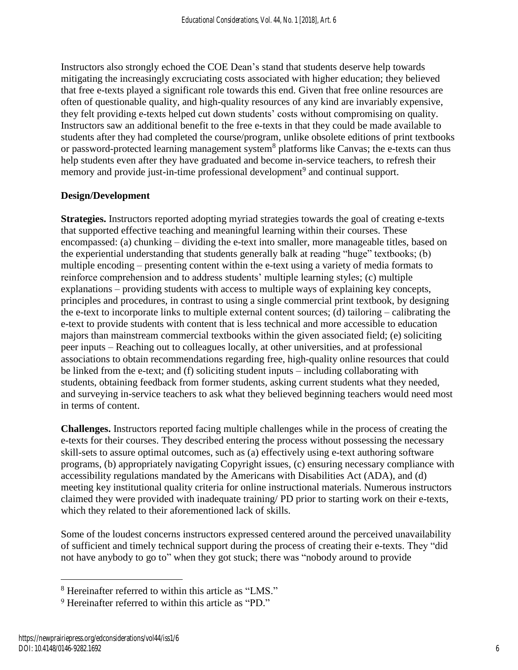Instructors also strongly echoed the COE Dean's stand that students deserve help towards mitigating the increasingly excruciating costs associated with higher education; they believed that free e-texts played a significant role towards this end. Given that free online resources are often of questionable quality, and high-quality resources of any kind are invariably expensive, they felt providing e-texts helped cut down students' costs without compromising on quality. Instructors saw an additional benefit to the free e-texts in that they could be made available to students after they had completed the course/program, unlike obsolete editions of print textbooks or password-protected learning management system<sup>8</sup> platforms like Canvas; the e-texts can thus help students even after they have graduated and become in-service teachers, to refresh their memory and provide just-in-time professional development<sup>9</sup> and continual support.

# **Design/Development**

**Strategies.** Instructors reported adopting myriad strategies towards the goal of creating e-texts that supported effective teaching and meaningful learning within their courses. These encompassed: (a) chunking – dividing the e-text into smaller, more manageable titles, based on the experiential understanding that students generally balk at reading "huge" textbooks; (b) multiple encoding – presenting content within the e-text using a variety of media formats to reinforce comprehension and to address students' multiple learning styles; (c) multiple explanations – providing students with access to multiple ways of explaining key concepts, principles and procedures, in contrast to using a single commercial print textbook, by designing the e-text to incorporate links to multiple external content sources; (d) tailoring – calibrating the e-text to provide students with content that is less technical and more accessible to education majors than mainstream commercial textbooks within the given associated field; (e) soliciting peer inputs – Reaching out to colleagues locally, at other universities, and at professional associations to obtain recommendations regarding free, high-quality online resources that could be linked from the e-text; and (f) soliciting student inputs – including collaborating with students, obtaining feedback from former students, asking current students what they needed, and surveying in-service teachers to ask what they believed beginning teachers would need most in terms of content.

**Challenges.** Instructors reported facing multiple challenges while in the process of creating the e-texts for their courses. They described entering the process without possessing the necessary skill-sets to assure optimal outcomes, such as (a) effectively using e-text authoring software programs, (b) appropriately navigating Copyright issues, (c) ensuring necessary compliance with accessibility regulations mandated by the Americans with Disabilities Act (ADA), and (d) meeting key institutional quality criteria for online instructional materials. Numerous instructors claimed they were provided with inadequate training/ PD prior to starting work on their e-texts, which they related to their aforementioned lack of skills.

Some of the loudest concerns instructors expressed centered around the perceived unavailability of sufficient and timely technical support during the process of creating their e-texts. They "did not have anybody to go to" when they got stuck; there was "nobody around to provide

<sup>8</sup> Hereinafter referred to within this article as "LMS."

<sup>9</sup> Hereinafter referred to within this article as "PD."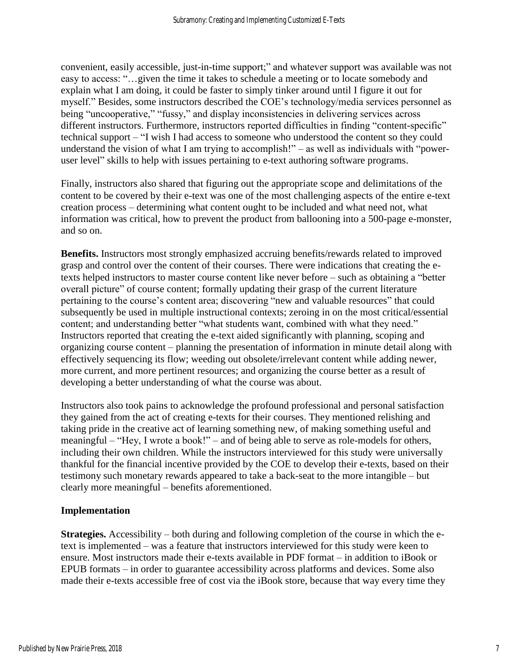convenient, easily accessible, just-in-time support;" and whatever support was available was not easy to access: "…given the time it takes to schedule a meeting or to locate somebody and explain what I am doing, it could be faster to simply tinker around until I figure it out for myself." Besides, some instructors described the COE's technology/media services personnel as being "uncooperative," "fussy," and display inconsistencies in delivering services across different instructors. Furthermore, instructors reported difficulties in finding "content-specific" technical support – "I wish I had access to someone who understood the content so they could understand the vision of what I am trying to accomplish!" – as well as individuals with "poweruser level" skills to help with issues pertaining to e-text authoring software programs.

Finally, instructors also shared that figuring out the appropriate scope and delimitations of the content to be covered by their e-text was one of the most challenging aspects of the entire e-text creation process – determining what content ought to be included and what need not, what information was critical, how to prevent the product from ballooning into a 500-page e-monster, and so on.

**Benefits.** Instructors most strongly emphasized accruing benefits/rewards related to improved grasp and control over the content of their courses. There were indications that creating the etexts helped instructors to master course content like never before – such as obtaining a "better overall picture" of course content; formally updating their grasp of the current literature pertaining to the course's content area; discovering "new and valuable resources" that could subsequently be used in multiple instructional contexts; zeroing in on the most critical/essential content; and understanding better "what students want, combined with what they need." Instructors reported that creating the e-text aided significantly with planning, scoping and organizing course content – planning the presentation of information in minute detail along with effectively sequencing its flow; weeding out obsolete/irrelevant content while adding newer, more current, and more pertinent resources; and organizing the course better as a result of developing a better understanding of what the course was about.

Instructors also took pains to acknowledge the profound professional and personal satisfaction they gained from the act of creating e-texts for their courses. They mentioned relishing and taking pride in the creative act of learning something new, of making something useful and meaningful – "Hey, I wrote a book!" – and of being able to serve as role-models for others, including their own children. While the instructors interviewed for this study were universally thankful for the financial incentive provided by the COE to develop their e-texts, based on their testimony such monetary rewards appeared to take a back-seat to the more intangible – but clearly more meaningful – benefits aforementioned.

### **Implementation**

**Strategies.** Accessibility – both during and following completion of the course in which the etext is implemented – was a feature that instructors interviewed for this study were keen to ensure. Most instructors made their e-texts available in PDF format – in addition to iBook or EPUB formats – in order to guarantee accessibility across platforms and devices. Some also made their e-texts accessible free of cost via the iBook store, because that way every time they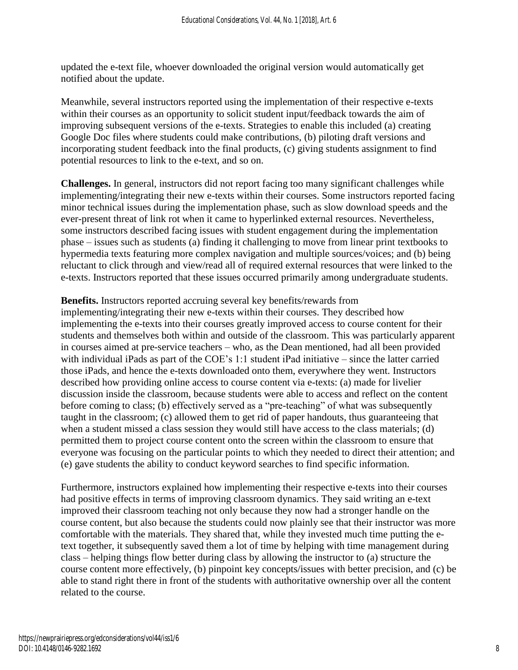updated the e-text file, whoever downloaded the original version would automatically get notified about the update.

Meanwhile, several instructors reported using the implementation of their respective e-texts within their courses as an opportunity to solicit student input/feedback towards the aim of improving subsequent versions of the e-texts. Strategies to enable this included (a) creating Google Doc files where students could make contributions, (b) piloting draft versions and incorporating student feedback into the final products, (c) giving students assignment to find potential resources to link to the e-text, and so on.

**Challenges.** In general, instructors did not report facing too many significant challenges while implementing/integrating their new e-texts within their courses. Some instructors reported facing minor technical issues during the implementation phase, such as slow download speeds and the ever-present threat of link rot when it came to hyperlinked external resources. Nevertheless, some instructors described facing issues with student engagement during the implementation phase – issues such as students (a) finding it challenging to move from linear print textbooks to hypermedia texts featuring more complex navigation and multiple sources/voices; and (b) being reluctant to click through and view/read all of required external resources that were linked to the e-texts. Instructors reported that these issues occurred primarily among undergraduate students.

**Benefits.** Instructors reported accruing several key benefits/rewards from implementing/integrating their new e-texts within their courses. They described how implementing the e-texts into their courses greatly improved access to course content for their students and themselves both within and outside of the classroom. This was particularly apparent in courses aimed at pre-service teachers – who, as the Dean mentioned, had all been provided with individual iPads as part of the COE's 1:1 student iPad initiative – since the latter carried those iPads, and hence the e-texts downloaded onto them, everywhere they went. Instructors described how providing online access to course content via e-texts: (a) made for livelier discussion inside the classroom, because students were able to access and reflect on the content before coming to class; (b) effectively served as a "pre-teaching" of what was subsequently taught in the classroom; (c) allowed them to get rid of paper handouts, thus guaranteeing that when a student missed a class session they would still have access to the class materials; (d) permitted them to project course content onto the screen within the classroom to ensure that everyone was focusing on the particular points to which they needed to direct their attention; and (e) gave students the ability to conduct keyword searches to find specific information.

Furthermore, instructors explained how implementing their respective e-texts into their courses had positive effects in terms of improving classroom dynamics. They said writing an e-text improved their classroom teaching not only because they now had a stronger handle on the course content, but also because the students could now plainly see that their instructor was more comfortable with the materials. They shared that, while they invested much time putting the etext together, it subsequently saved them a lot of time by helping with time management during class – helping things flow better during class by allowing the instructor to (a) structure the course content more effectively, (b) pinpoint key concepts/issues with better precision, and (c) be able to stand right there in front of the students with authoritative ownership over all the content related to the course.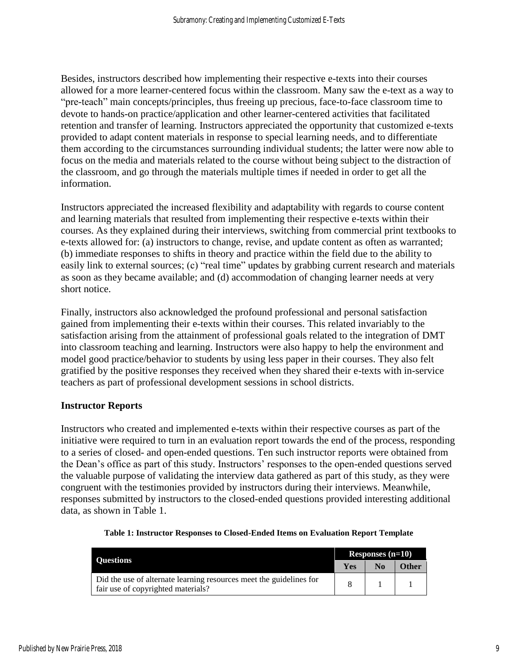Besides, instructors described how implementing their respective e-texts into their courses allowed for a more learner-centered focus within the classroom. Many saw the e-text as a way to "pre-teach" main concepts/principles, thus freeing up precious, face-to-face classroom time to devote to hands-on practice/application and other learner-centered activities that facilitated retention and transfer of learning. Instructors appreciated the opportunity that customized e-texts provided to adapt content materials in response to special learning needs, and to differentiate them according to the circumstances surrounding individual students; the latter were now able to focus on the media and materials related to the course without being subject to the distraction of the classroom, and go through the materials multiple times if needed in order to get all the information.

Instructors appreciated the increased flexibility and adaptability with regards to course content and learning materials that resulted from implementing their respective e-texts within their courses. As they explained during their interviews, switching from commercial print textbooks to e-texts allowed for: (a) instructors to change, revise, and update content as often as warranted; (b) immediate responses to shifts in theory and practice within the field due to the ability to easily link to external sources; (c) "real time" updates by grabbing current research and materials as soon as they became available; and (d) accommodation of changing learner needs at very short notice.

Finally, instructors also acknowledged the profound professional and personal satisfaction gained from implementing their e-texts within their courses. This related invariably to the satisfaction arising from the attainment of professional goals related to the integration of DMT into classroom teaching and learning. Instructors were also happy to help the environment and model good practice/behavior to students by using less paper in their courses. They also felt gratified by the positive responses they received when they shared their e-texts with in-service teachers as part of professional development sessions in school districts.

### **Instructor Reports**

Instructors who created and implemented e-texts within their respective courses as part of the initiative were required to turn in an evaluation report towards the end of the process, responding to a series of closed- and open-ended questions. Ten such instructor reports were obtained from the Dean's office as part of this study. Instructors' responses to the open-ended questions served the valuable purpose of validating the interview data gathered as part of this study, as they were congruent with the testimonies provided by instructors during their interviews. Meanwhile, responses submitted by instructors to the closed-ended questions provided interesting additional data, as shown in Table 1.

| <b>Ouestions</b>                                                                                          | Responses $(n=10)$ |    |              |
|-----------------------------------------------------------------------------------------------------------|--------------------|----|--------------|
|                                                                                                           | <b>Yes</b>         | No | <b>Other</b> |
| Did the use of alternate learning resources meet the guidelines for<br>fair use of copyrighted materials? |                    |    |              |

#### **Table 1: Instructor Responses to Closed-Ended Items on Evaluation Report Template**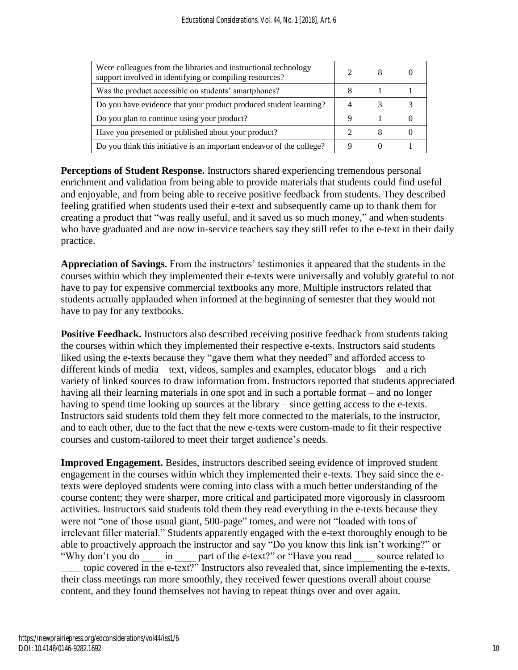| Were colleagues from the libraries and instructional technology<br>support involved in identifying or compiling resources? |   |  |
|----------------------------------------------------------------------------------------------------------------------------|---|--|
| Was the product accessible on students' smartphones?                                                                       |   |  |
| Do you have evidence that your product produced student learning?                                                          |   |  |
| Do you plan to continue using your product?                                                                                |   |  |
| Have you presented or published about your product?                                                                        | 8 |  |
| Do you think this initiative is an important endeavor of the college?                                                      |   |  |

**Perceptions of Student Response.** Instructors shared experiencing tremendous personal enrichment and validation from being able to provide materials that students could find useful and enjoyable, and from being able to receive positive feedback from students. They described feeling gratified when students used their e-text and subsequently came up to thank them for creating a product that "was really useful, and it saved us so much money," and when students who have graduated and are now in-service teachers say they still refer to the e-text in their daily practice.

**Appreciation of Savings.** From the instructors' testimonies it appeared that the students in the courses within which they implemented their e-texts were universally and volubly grateful to not have to pay for expensive commercial textbooks any more. Multiple instructors related that students actually applauded when informed at the beginning of semester that they would not have to pay for any textbooks.

**Positive Feedback.** Instructors also described receiving positive feedback from students taking the courses within which they implemented their respective e-texts. Instructors said students liked using the e-texts because they "gave them what they needed" and afforded access to different kinds of media – text, videos, samples and examples, educator blogs – and a rich variety of linked sources to draw information from. Instructors reported that students appreciated having all their learning materials in one spot and in such a portable format – and no longer having to spend time looking up sources at the library – since getting access to the e-texts. Instructors said students told them they felt more connected to the materials, to the instructor, and to each other, due to the fact that the new e-texts were custom-made to fit their respective courses and custom-tailored to meet their target audience's needs.

**Improved Engagement.** Besides, instructors described seeing evidence of improved student engagement in the courses within which they implemented their e-texts. They said since the etexts were deployed students were coming into class with a much better understanding of the course content; they were sharper, more critical and participated more vigorously in classroom activities. Instructors said students told them they read everything in the e-texts because they were not "one of those usual giant, 500-page" tomes, and were not "loaded with tons of irrelevant filler material." Students apparently engaged with the e-text thoroughly enough to be able to proactively approach the instructor and say "Do you know this link isn't working?" or "Why don't you do \_\_\_\_ in \_\_\_\_ part of the e-text?" or "Have you read \_\_\_\_ source related to \_\_\_\_ topic covered in the e-text?" Instructors also revealed that, since implementing the e-texts, their class meetings ran more smoothly, they received fewer questions overall about course content, and they found themselves not having to repeat things over and over again.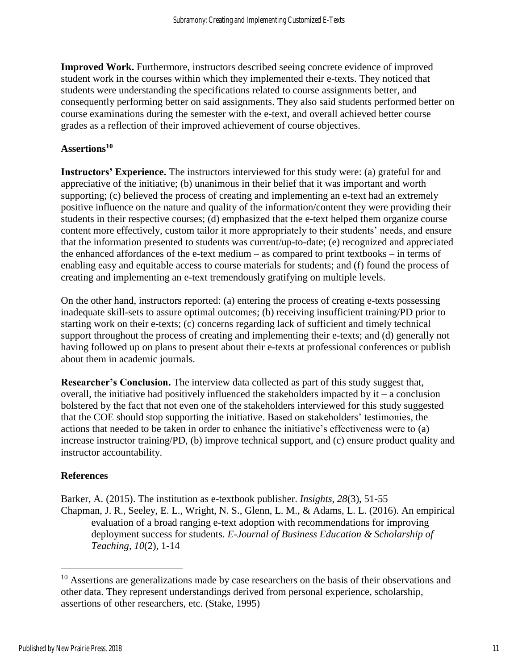**Improved Work.** Furthermore, instructors described seeing concrete evidence of improved student work in the courses within which they implemented their e-texts. They noticed that students were understanding the specifications related to course assignments better, and consequently performing better on said assignments. They also said students performed better on course examinations during the semester with the e-text, and overall achieved better course grades as a reflection of their improved achievement of course objectives.

#### **Assertions<sup>10</sup>**

**Instructors' Experience.** The instructors interviewed for this study were: (a) grateful for and appreciative of the initiative; (b) unanimous in their belief that it was important and worth supporting; (c) believed the process of creating and implementing an e-text had an extremely positive influence on the nature and quality of the information/content they were providing their students in their respective courses; (d) emphasized that the e-text helped them organize course content more effectively, custom tailor it more appropriately to their students' needs, and ensure that the information presented to students was current/up-to-date; (e) recognized and appreciated the enhanced affordances of the e-text medium – as compared to print textbooks – in terms of enabling easy and equitable access to course materials for students; and (f) found the process of creating and implementing an e-text tremendously gratifying on multiple levels.

On the other hand, instructors reported: (a) entering the process of creating e-texts possessing inadequate skill-sets to assure optimal outcomes; (b) receiving insufficient training/PD prior to starting work on their e-texts; (c) concerns regarding lack of sufficient and timely technical support throughout the process of creating and implementing their e-texts; and (d) generally not having followed up on plans to present about their e-texts at professional conferences or publish about them in academic journals.

**Researcher's Conclusion.** The interview data collected as part of this study suggest that, overall, the initiative had positively influenced the stakeholders impacted by  $it - a$  conclusion bolstered by the fact that not even one of the stakeholders interviewed for this study suggested that the COE should stop supporting the initiative. Based on stakeholders' testimonies, the actions that needed to be taken in order to enhance the initiative's effectiveness were to (a) increase instructor training/PD, (b) improve technical support, and (c) ensure product quality and instructor accountability.

#### **References**

Barker, A. (2015). The institution as e-textbook publisher. *Insights, 28*(3), 51-55 Chapman, J. R., Seeley, E. L., Wright, N. S., Glenn, L. M., & Adams, L. L. (2016). An empirical evaluation of a broad ranging e-text adoption with recommendations for improving deployment success for students. *E-Journal of Business Education & Scholarship of Teaching, 10*(2), 1-14

<sup>&</sup>lt;sup>10</sup> Assertions are generalizations made by case researchers on the basis of their observations and other data. They represent understandings derived from personal experience, scholarship, assertions of other researchers, etc. (Stake, 1995)